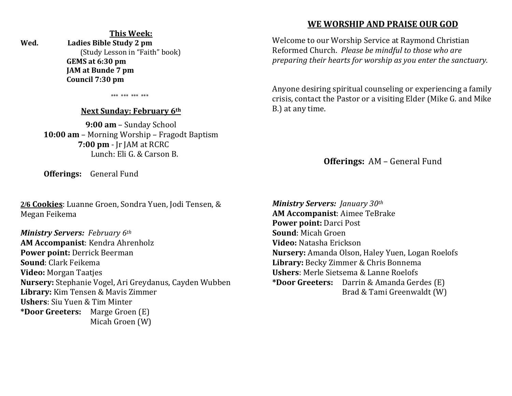## **This Week:**

**Wed. Ladies Bible Study 2 pm** (Study Lesson in "Faith" book)  **GEMS at 6:30 pm JAM at Bunde 7 pm Council 7:30 pm** 

\*\*\* \*\*\* \*\*\* \*\*\*

#### **Next Sunday: February 6th**

**9:00 am** – Sunday School **10:00 am** – Morning Worship – Fragodt Baptism  **7:00 pm** - Jr JAM at RCRC Lunch: Eli G. & Carson B.

**Offerings:** General Fund

**2/6 Cookies**: Luanne Groen, Sondra Yuen, Jodi Tensen, & Megan Feikema

*Ministry Servers: February 6th*  **AM Accompanist**: Kendra Ahrenholz **Power point:** Derrick Beerman **Sound**: Clark Feikema **Video:** Morgan Taatjes **Nursery:** Stephanie Vogel, Ari Greydanus, Cayden Wubben **Library:** Kim Tensen & Mavis Zimmer **Ushers**: Siu Yuen & Tim Minter **\*Door Greeters:** Marge Groen (E) Micah Groen (W)

## **WE WORSHIP AND PRAISE OUR GOD**

Welcome to our Worship Service at Raymond Christian Reformed Church. *Please be mindful to those who are preparing their hearts for worship as you enter the sanctuary.*

Anyone desiring spiritual counseling or experiencing a family crisis, contact the Pastor or a visiting Elder (Mike G. and Mike B.) at any time.

**Offerings:** AM – General Fund

*Ministry Servers: January 30th*  **AM Accompanist**: Aimee TeBrake **Power point:** Darci Post **Sound**: Micah Groen **Video:** Natasha Erickson **Nursery:** Amanda Olson, Haley Yuen, Logan Roelofs **Library:** Becky Zimmer & Chris Bonnema **Ushers**: Merle Sietsema & Lanne Roelofs **\*Door Greeters:** Darrin & Amanda Gerdes (E) Brad & Tami Greenwaldt (W)